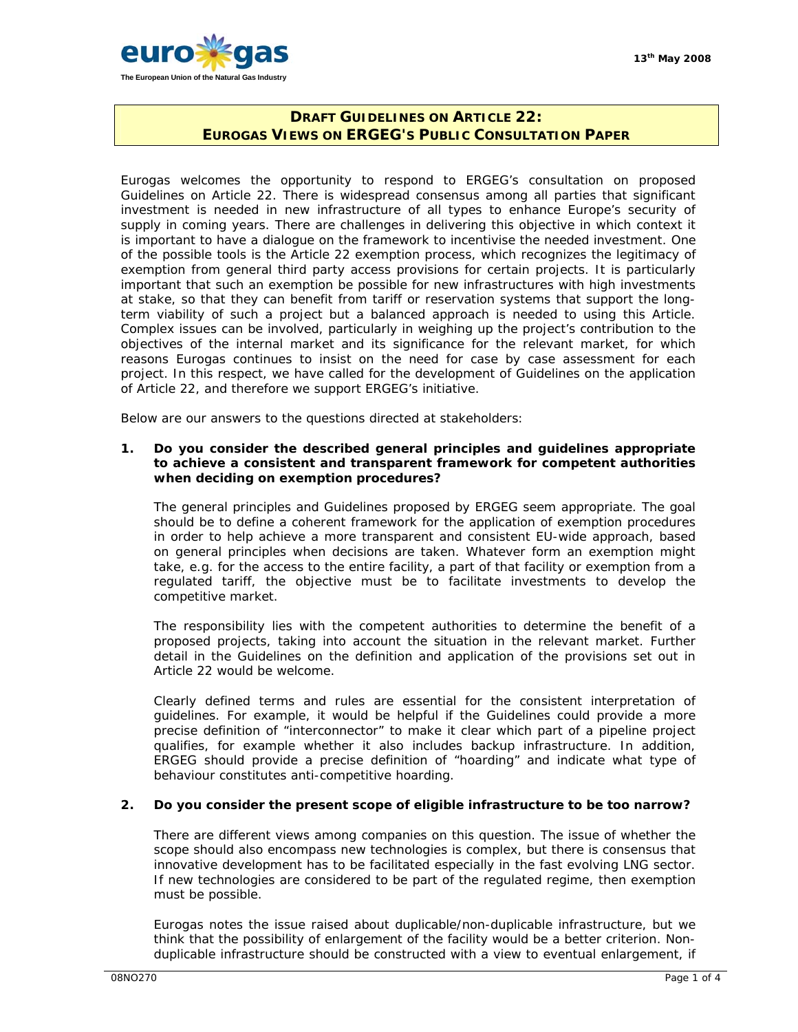

# **DRAFT GUIDELINES ON ARTICLE 22: EUROGAS VIEWS ON ERGEG'S PUBLIC CONSULTATION PAPER**

Eurogas welcomes the opportunity to respond to ERGEG's consultation on proposed Guidelines on Article 22. There is widespread consensus among all parties that significant investment is needed in new infrastructure of all types to enhance Europe's security of supply in coming years. There are challenges in delivering this objective in which context it is important to have a dialogue on the framework to incentivise the needed investment. One of the possible tools is the Article 22 exemption process, which recognizes the legitimacy of exemption from general third party access provisions for certain projects. It is particularly important that such an exemption be possible for new infrastructures with high investments at stake, so that they can benefit from tariff or reservation systems that support the longterm viability of such a project but a balanced approach is needed to using this Article. Complex issues can be involved, particularly in weighing up the project's contribution to the objectives of the internal market and its significance for the relevant market, for which reasons Eurogas continues to insist on the need for case by case assessment for each project. In this respect, we have called for the development of Guidelines on the application of Article 22, and therefore we support ERGEG's initiative.

Below are our answers to the questions directed at stakeholders:

#### **1. Do you consider the described general principles and guidelines appropriate to achieve a consistent and transparent framework for competent authorities when deciding on exemption procedures?**

The general principles and Guidelines proposed by ERGEG seem appropriate. The goal should be to define a coherent framework for the application of exemption procedures in order to help achieve a more transparent and consistent EU-wide approach, based on general principles when decisions are taken. Whatever form an exemption might take, e.g. for the access to the entire facility, a part of that facility or exemption from a regulated tariff, the objective must be to facilitate investments to develop the competitive market.

The responsibility lies with the competent authorities to determine the benefit of a proposed projects, taking into account the situation in the relevant market. Further detail in the Guidelines on the definition and application of the provisions set out in Article 22 would be welcome.

Clearly defined terms and rules are essential for the consistent interpretation of guidelines. For example, it would be helpful if the Guidelines could provide a more precise definition of "interconnector" to make it clear which part of a pipeline project qualifies, for example whether it also includes backup infrastructure. In addition, ERGEG should provide a precise definition of "hoarding" and indicate what type of behaviour constitutes anti-competitive hoarding.

# **2. Do you consider the present scope of eligible infrastructure to be too narrow?**

There are different views among companies on this question. The issue of whether the scope should also encompass new technologies is complex, but there is consensus that innovative development has to be facilitated especially in the fast evolving LNG sector. If new technologies are considered to be part of the regulated regime, then exemption must be possible.

Eurogas notes the issue raised about duplicable/non-duplicable infrastructure, but we think that the possibility of enlargement of the facility would be a better criterion. Nonduplicable infrastructure should be constructed with a view to eventual enlargement, if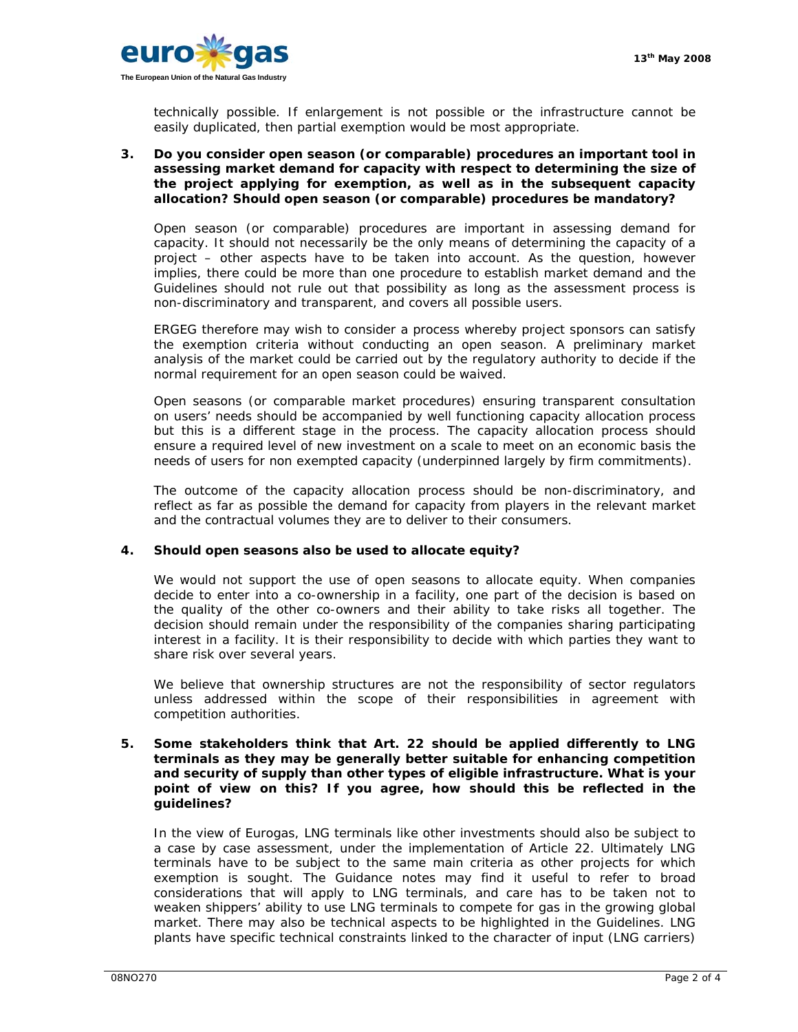

technically possible. If enlargement is not possible or the infrastructure cannot be easily duplicated, then partial exemption would be most appropriate.

## **3. Do you consider open season (or comparable) procedures an important tool in assessing market demand for capacity with respect to determining the size of the project applying for exemption, as well as in the subsequent capacity allocation? Should open season (or comparable) procedures be mandatory?**

Open season (or comparable) procedures are important in assessing demand for capacity. It should not necessarily be the only means of determining the capacity of a project – other aspects have to be taken into account. As the question, however implies, there could be more than one procedure to establish market demand and the Guidelines should not rule out that possibility as long as the assessment process is non-discriminatory and transparent, and covers all possible users.

ERGEG therefore may wish to consider a process whereby project sponsors can satisfy the exemption criteria without conducting an open season. A preliminary market analysis of the market could be carried out by the regulatory authority to decide if the normal requirement for an open season could be waived.

Open seasons (or comparable market procedures) ensuring transparent consultation on users' needs should be accompanied by well functioning capacity allocation process but this is a different stage in the process. The capacity allocation process should ensure a required level of new investment on a scale to meet on an economic basis the needs of users for non exempted capacity (underpinned largely by firm commitments).

The outcome of the capacity allocation process should be non-discriminatory, and reflect as far as possible the demand for capacity from players in the relevant market and the contractual volumes they are to deliver to their consumers.

# **4. Should open seasons also be used to allocate equity?**

We would not support the use of open seasons to allocate equity. When companies decide to enter into a co-ownership in a facility, one part of the decision is based on the quality of the other co-owners and their ability to take risks all together. The decision should remain under the responsibility of the companies sharing participating interest in a facility. It is their responsibility to decide with which parties they want to share risk over several years.

We believe that ownership structures are not the responsibility of sector regulators unless addressed within the scope of their responsibilities in agreement with competition authorities.

## **5. Some stakeholders think that Art. 22 should be applied differently to LNG terminals as they may be generally better suitable for enhancing competition and security of supply than other types of eligible infrastructure. What is your point of view on this? If you agree, how should this be reflected in the guidelines?**

In the view of Eurogas, LNG terminals like other investments should also be subject to a case by case assessment, under the implementation of Article 22. Ultimately LNG terminals have to be subject to the same main criteria as other projects for which exemption is sought. The Guidance notes may find it useful to refer to broad considerations that will apply to LNG terminals, and care has to be taken not to weaken shippers' ability to use LNG terminals to compete for gas in the growing global market. There may also be technical aspects to be highlighted in the Guidelines. LNG plants have specific technical constraints linked to the character of input (LNG carriers)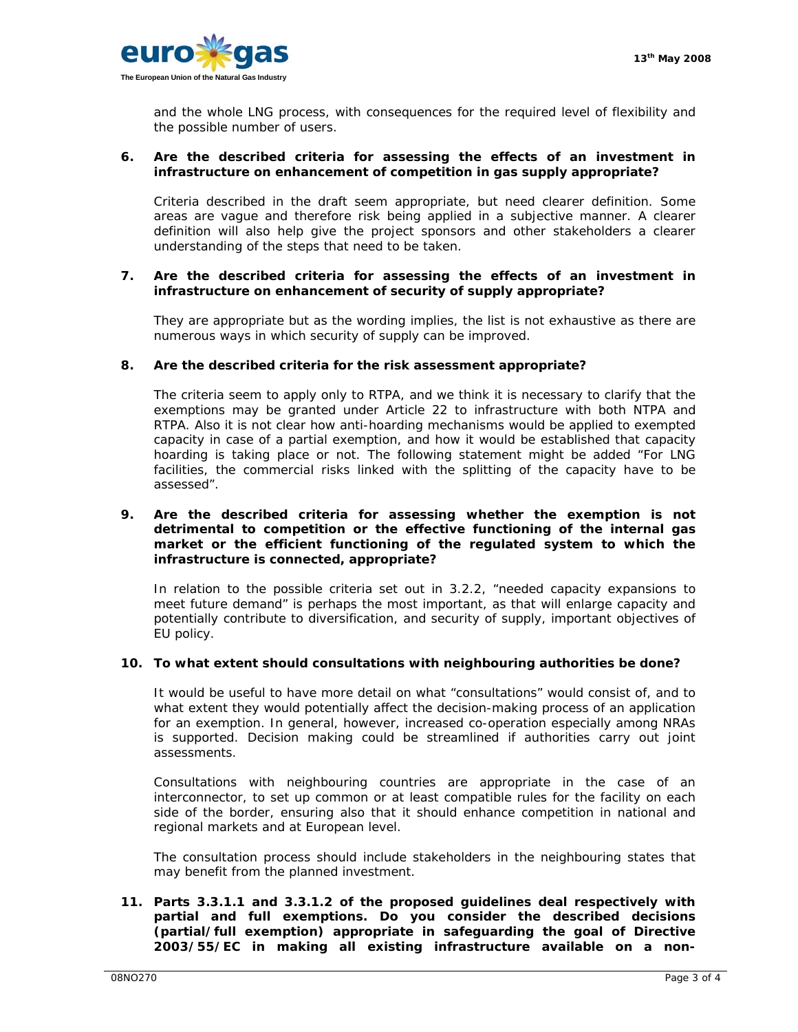

and the whole LNG process, with consequences for the required level of flexibility and the possible number of users.

## **6. Are the described criteria for assessing the effects of an investment in infrastructure on enhancement of competition in gas supply appropriate?**

Criteria described in the draft seem appropriate, but need clearer definition. Some areas are vague and therefore risk being applied in a subjective manner. A clearer definition will also help give the project sponsors and other stakeholders a clearer understanding of the steps that need to be taken.

## **7. Are the described criteria for assessing the effects of an investment in infrastructure on enhancement of security of supply appropriate?**

They are appropriate but as the wording implies, the list is not exhaustive as there are numerous ways in which security of supply can be improved.

### **8. Are the described criteria for the risk assessment appropriate?**

The criteria seem to apply only to RTPA, and we think it is necessary to clarify that the exemptions may be granted under Article 22 to infrastructure with both NTPA and RTPA. Also it is not clear how anti-hoarding mechanisms would be applied to exempted capacity in case of a partial exemption, and how it would be established that capacity hoarding is taking place or not. The following statement might be added "For LNG facilities, the commercial risks linked with the splitting of the capacity have to be assessed".

## **9. Are the described criteria for assessing whether the exemption is not detrimental to competition or the effective functioning of the internal gas market or the efficient functioning of the regulated system to which the infrastructure is connected, appropriate?**

In relation to the possible criteria set out in 3.2.2, "needed capacity expansions to meet future demand" is perhaps the most important, as that will enlarge capacity and potentially contribute to diversification, and security of supply, important objectives of EU policy.

# **10. To what extent should consultations with neighbouring authorities be done?**

It would be useful to have more detail on what "consultations" would consist of, and to what extent they would potentially affect the decision-making process of an application for an exemption. In general, however, increased co-operation especially among NRAs is supported. Decision making could be streamlined if authorities carry out joint assessments.

Consultations with neighbouring countries are appropriate in the case of an interconnector, to set up common or at least compatible rules for the facility on each side of the border, ensuring also that it should enhance competition in national and regional markets and at European level.

The consultation process should include stakeholders in the neighbouring states that may benefit from the planned investment.

**11. Parts 3.3.1.1 and 3.3.1.2 of the proposed guidelines deal respectively with partial and full exemptions. Do you consider the described decisions (partial/full exemption) appropriate in safeguarding the goal of Directive 2003/55/EC in making all existing infrastructure available on a non-**